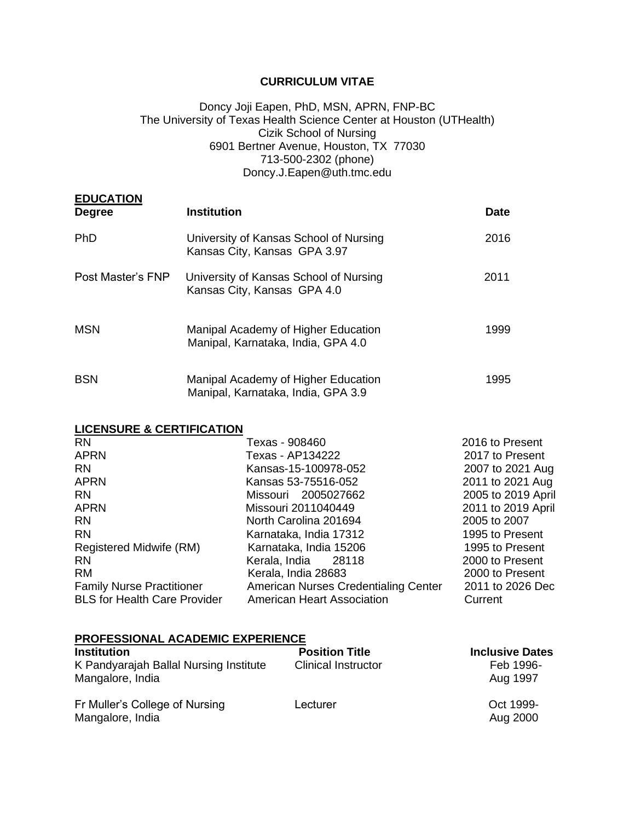# **CURRICULUM VITAE**

### Doncy Joji Eapen, PhD, MSN, APRN, FNP-BC The University of Texas Health Science Center at Houston (UTHealth) Cizik School of Nursing 6901 Bertner Avenue, Houston, TX 77030 713-500-2302 (phone) Doncy.J.Eapen@uth.tmc.edu

| <b>EDUCATION</b><br><b>Degree</b> | <b>Institution</b>                                                        | <b>Date</b> |
|-----------------------------------|---------------------------------------------------------------------------|-------------|
| <b>PhD</b>                        | University of Kansas School of Nursing<br>Kansas City, Kansas GPA 3.97    | 2016        |
| Post Master's FNP                 | University of Kansas School of Nursing<br>Kansas City, Kansas GPA 4.0     | 2011        |
| <b>MSN</b>                        | Manipal Academy of Higher Education<br>Manipal, Karnataka, India, GPA 4.0 | 1999        |
| <b>BSN</b>                        | Manipal Academy of Higher Education<br>Manipal, Karnataka, India, GPA 3.9 | 1995        |

### **LICENSURE & CERTIFICATION**

| <b>RN</b>                           | Texas - 908460                       | 2016 to Present    |
|-------------------------------------|--------------------------------------|--------------------|
| <b>APRN</b>                         | Texas - AP134222                     | 2017 to Present    |
| <b>RN</b>                           | Kansas-15-100978-052                 | 2007 to 2021 Aug   |
| <b>APRN</b>                         | Kansas 53-75516-052                  | 2011 to 2021 Aug   |
| <b>RN</b>                           | Missouri 2005027662                  | 2005 to 2019 April |
| <b>APRN</b>                         | Missouri 2011040449                  | 2011 to 2019 April |
| <b>RN</b>                           | North Carolina 201694                | 2005 to 2007       |
| <b>RN</b>                           | Karnataka, India 17312               | 1995 to Present    |
| Registered Midwife (RM)             | Karnataka, India 15206               | 1995 to Present    |
| <b>RN</b>                           | Kerala, India<br>28118               | 2000 to Present    |
| <b>RM</b>                           | Kerala, India 28683                  | 2000 to Present    |
| <b>Family Nurse Practitioner</b>    | American Nurses Credentialing Center | 2011 to 2026 Dec   |
| <b>BLS for Health Care Provider</b> | <b>American Heart Association</b>    | Current            |

### **PROFESSIONAL ACADEMIC EXPERIENCE**

| <b>Institution</b>                                         | <b>Position Title</b>      | <b>Inclusive Dates</b> |
|------------------------------------------------------------|----------------------------|------------------------|
| K Pandyarajah Ballal Nursing Institute<br>Mangalore, India | <b>Clinical Instructor</b> | Feb 1996-<br>Aug 1997  |
| Fr Muller's College of Nursing<br>Mangalore, India         | Lecturer                   | Oct 1999-<br>Aug 2000  |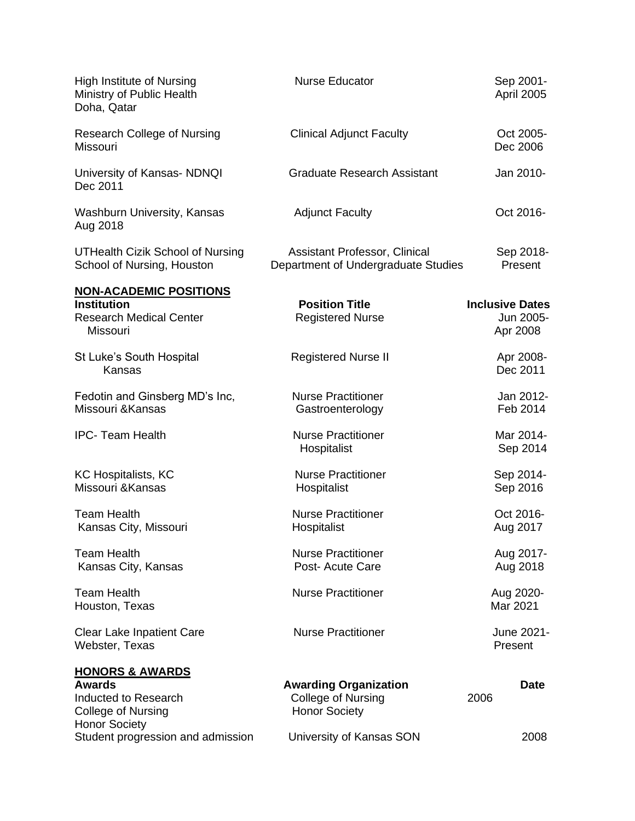| <b>High Institute of Nursing</b><br>Ministry of Public Health<br>Doha, Qatar                                             | <b>Nurse Educator</b>                                                             | Sep 2001-<br>April 2005                         |
|--------------------------------------------------------------------------------------------------------------------------|-----------------------------------------------------------------------------------|-------------------------------------------------|
| <b>Research College of Nursing</b><br>Missouri                                                                           | <b>Clinical Adjunct Faculty</b>                                                   | Oct 2005-<br>Dec 2006                           |
| University of Kansas- NDNQI<br>Dec 2011                                                                                  | <b>Graduate Research Assistant</b>                                                | Jan 2010-                                       |
| <b>Washburn University, Kansas</b><br>Aug 2018                                                                           | <b>Adjunct Faculty</b>                                                            | Oct 2016-                                       |
| <b>UTHealth Cizik School of Nursing</b><br>School of Nursing, Houston                                                    | Assistant Professor, Clinical<br>Department of Undergraduate Studies              | Sep 2018-<br>Present                            |
| <b>NON-ACADEMIC POSITIONS</b><br><b>Institution</b><br><b>Research Medical Center</b><br>Missouri                        | <b>Position Title</b><br><b>Registered Nurse</b>                                  | <b>Inclusive Dates</b><br>Jun 2005-<br>Apr 2008 |
| St Luke's South Hospital<br>Kansas                                                                                       | <b>Registered Nurse II</b>                                                        | Apr 2008-<br>Dec 2011                           |
| Fedotin and Ginsberg MD's Inc,<br>Missouri & Kansas                                                                      | <b>Nurse Practitioner</b><br>Gastroenterology                                     | Jan 2012-<br>Feb 2014                           |
| <b>IPC- Team Health</b>                                                                                                  | <b>Nurse Practitioner</b><br>Hospitalist                                          | Mar 2014-<br>Sep 2014                           |
| <b>KC Hospitalists, KC</b><br>Missouri & Kansas                                                                          | <b>Nurse Practitioner</b><br>Hospitalist                                          | Sep 2014-<br>Sep 2016                           |
| <b>Team Health</b><br>Kansas City, Missouri                                                                              | <b>Nurse Practitioner</b><br>Hospitalist                                          | Oct 2016-<br>Aug 2017                           |
| <b>Team Health</b><br>Kansas City, Kansas                                                                                | <b>Nurse Practitioner</b><br>Post- Acute Care                                     | Aug 2017-<br>Aug 2018                           |
| <b>Team Health</b><br>Houston, Texas                                                                                     | <b>Nurse Practitioner</b>                                                         | Aug 2020-<br>Mar 2021                           |
| <b>Clear Lake Inpatient Care</b><br>Webster, Texas                                                                       | <b>Nurse Practitioner</b>                                                         | June 2021-<br>Present                           |
| <b>HONORS &amp; AWARDS</b><br><b>Awards</b><br>Inducted to Research<br><b>College of Nursing</b><br><b>Honor Society</b> | <b>Awarding Organization</b><br><b>College of Nursing</b><br><b>Honor Society</b> | <b>Date</b><br>2006                             |
| Student progression and admission                                                                                        | University of Kansas SON                                                          | 2008                                            |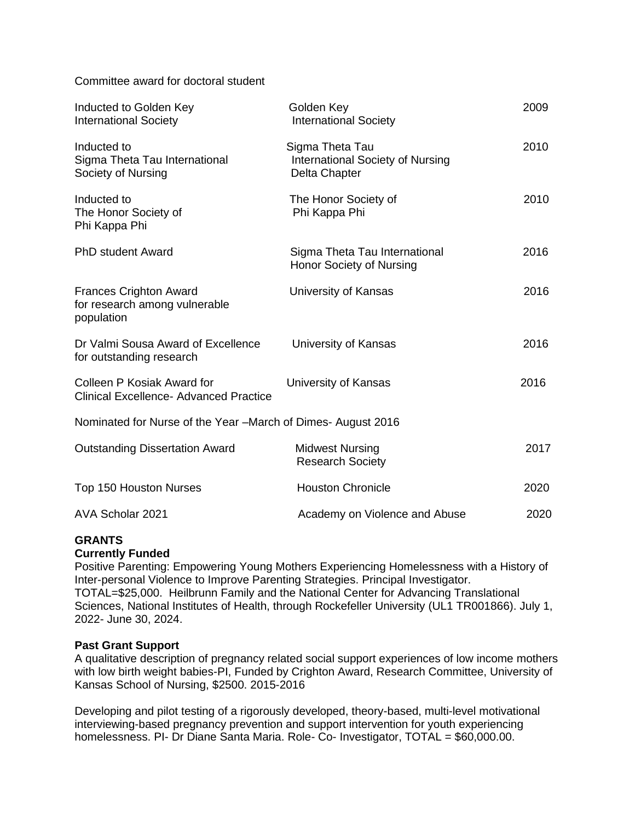Committee award for doctoral student

| Inducted to Golden Key<br><b>International Society</b>                       | Golden Key<br><b>International Society</b>                           | 2009 |  |
|------------------------------------------------------------------------------|----------------------------------------------------------------------|------|--|
| Inducted to<br>Sigma Theta Tau International<br>Society of Nursing           | Sigma Theta Tau<br>International Society of Nursing<br>Delta Chapter | 2010 |  |
| Inducted to<br>The Honor Society of<br>Phi Kappa Phi                         | The Honor Society of<br>Phi Kappa Phi                                | 2010 |  |
| <b>PhD student Award</b>                                                     | Sigma Theta Tau International<br>Honor Society of Nursing            | 2016 |  |
| <b>Frances Crighton Award</b><br>for research among vulnerable<br>population | University of Kansas                                                 | 2016 |  |
| Dr Valmi Sousa Award of Excellence<br>for outstanding research               | University of Kansas                                                 | 2016 |  |
| Colleen P Kosiak Award for<br><b>Clinical Excellence- Advanced Practice</b>  | University of Kansas                                                 | 2016 |  |
| Nominated for Nurse of the Year -March of Dimes-August 2016                  |                                                                      |      |  |
| <b>Outstanding Dissertation Award</b>                                        | <b>Midwest Nursing</b><br><b>Research Society</b>                    | 2017 |  |
| Top 150 Houston Nurses                                                       | <b>Houston Chronicle</b>                                             | 2020 |  |
| AVA Scholar 2021                                                             | Academy on Violence and Abuse                                        | 2020 |  |

# **GRANTS**

# **Currently Funded**

Positive Parenting: Empowering Young Mothers Experiencing Homelessness with a History of Inter-personal Violence to Improve Parenting Strategies. Principal Investigator. TOTAL=\$25,000. Heilbrunn Family and the National Center for Advancing Translational Sciences, National Institutes of Health, through Rockefeller University (UL1 TR001866). July 1, 2022- June 30, 2024.

# **Past Grant Support**

A qualitative description of pregnancy related social support experiences of low income mothers with low birth weight babies-PI, Funded by Crighton Award, Research Committee, University of Kansas School of Nursing, \$2500. 2015-2016

Developing and pilot testing of a rigorously developed, theory-based, multi-level motivational interviewing-based pregnancy prevention and support intervention for youth experiencing homelessness. PI- Dr Diane Santa Maria. Role- Co- Investigator, TOTAL = \$60,000.00.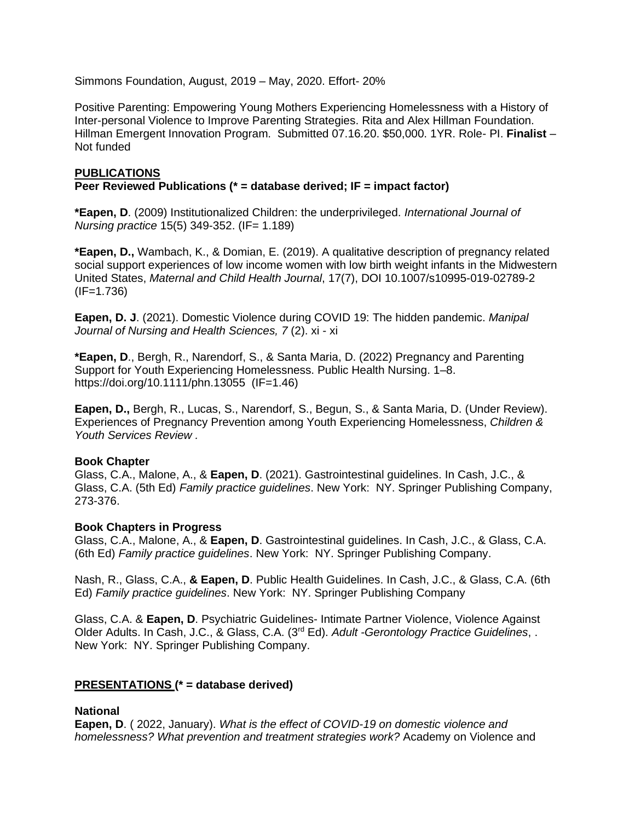Simmons Foundation, August, 2019 – May, 2020. Effort- 20%

Positive Parenting: Empowering Young Mothers Experiencing Homelessness with a History of Inter-personal Violence to Improve Parenting Strategies. Rita and Alex Hillman Foundation. Hillman Emergent Innovation Program. Submitted 07.16.20. \$50,000. 1YR. Role- PI. **Finalist** – Not funded

# **PUBLICATIONS**

# **Peer Reviewed Publications (\* = database derived; IF = impact factor)**

**\*Eapen, D**. (2009) Institutionalized Children: the underprivileged. *International Journal of Nursing practice* 15(5) 349-352. (IF= 1.189)

**\*Eapen, D.,** Wambach, K., & Domian, E. (2019). A qualitative description of pregnancy related social support experiences of low income women with low birth weight infants in the Midwestern United States, *Maternal and Child Health Journal*, 17(7), DOI 10.1007/s10995-019-02789-2  $(IF=1.736)$ 

**Eapen, D. J**. (2021). Domestic Violence during COVID 19: The hidden pandemic. *Manipal Journal of Nursing and Health Sciences, 7* (2). xi - xi

**\*Eapen, D**., Bergh, R., Narendorf, S., & Santa Maria, D. (2022) Pregnancy and Parenting Support for Youth Experiencing Homelessness. Public Health Nursing. 1–8. https://doi.org/10.1111/phn.13055 (IF=1.46)

**Eapen, D.,** Bergh, R., Lucas, S., Narendorf, S., Begun, S., & Santa Maria, D. (Under Review). Experiences of Pregnancy Prevention among Youth Experiencing Homelessness, *Children & Youth Services Review .*

# **Book Chapter**

Glass, C.A., Malone, A., & **Eapen, D**. (2021). Gastrointestinal guidelines. In Cash, J.C., & Glass, C.A. (5th Ed) *Family practice guidelines*. New York: NY. Springer Publishing Company, 273-376.

### **Book Chapters in Progress**

Glass, C.A., Malone, A., & **Eapen, D**. Gastrointestinal guidelines. In Cash, J.C., & Glass, C.A. (6th Ed) *Family practice guidelines*. New York: NY. Springer Publishing Company.

Nash, R., Glass, C.A., **& Eapen, D**. Public Health Guidelines. In Cash, J.C., & Glass, C.A. (6th Ed) *Family practice guidelines*. New York: NY. Springer Publishing Company

Glass, C.A. & **Eapen, D**. Psychiatric Guidelines- Intimate Partner Violence, Violence Against Older Adults. In Cash, J.C., & Glass, C.A. (3rd Ed). *Adult -Gerontology Practice Guidelines*, . New York: NY. Springer Publishing Company.

# **PRESENTATIONS (\* = database derived)**

### **National**

**Eapen, D**. ( 2022, January). *What is the effect of COVID-19 on domestic violence and homelessness? What prevention and treatment strategies work?* Academy on Violence and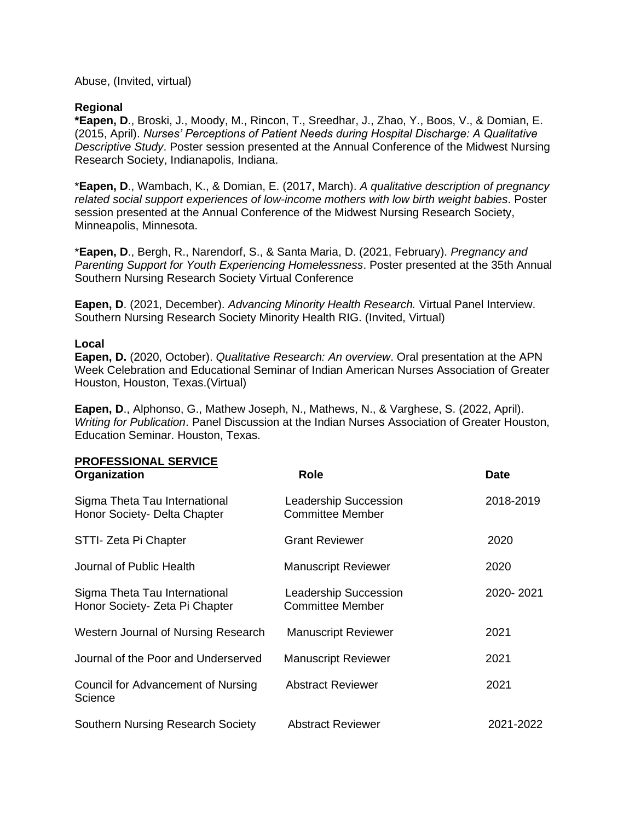Abuse, (Invited, virtual)

### **Regional**

**\*Eapen, D**., Broski, J., Moody, M., Rincon, T., Sreedhar, J., Zhao, Y., Boos, V., & Domian, E. (2015, April). *Nurses' Perceptions of Patient Needs during Hospital Discharge: A Qualitative Descriptive Study*. Poster session presented at the Annual Conference of the Midwest Nursing Research Society, Indianapolis, Indiana.

\***Eapen, D**., Wambach, K., & Domian, E. (2017, March). *A qualitative description of pregnancy related social support experiences of low-income mothers with low birth weight babies*. Poster session presented at the Annual Conference of the Midwest Nursing Research Society, Minneapolis, Minnesota.

\***Eapen, D**., Bergh, R., Narendorf, S., & Santa Maria, D. (2021, February). *Pregnancy and Parenting Support for Youth Experiencing Homelessness*. Poster presented at the 35th Annual Southern Nursing Research Society Virtual Conference

**Eapen, D**. (2021, December). *Advancing Minority Health Research.* Virtual Panel Interview. Southern Nursing Research Society Minority Health RIG. (Invited, Virtual)

### **Local**

**Eapen, D.** (2020, October). *Qualitative Research: An overview*. Oral presentation at the APN Week Celebration and Educational Seminar of Indian American Nurses Association of Greater Houston, Houston, Texas.(Virtual)

**Eapen, D**., Alphonso, G., Mathew Joseph, N., Mathews, N., & Varghese, S. (2022, April). *Writing for Publication*. Panel Discussion at the Indian Nurses Association of Greater Houston, Education Seminar. Houston, Texas.

| <b>PROFESSIONAL SERVICE</b><br>Organization                     | <b>Role</b>                                             | <b>Date</b> |
|-----------------------------------------------------------------|---------------------------------------------------------|-------------|
| Sigma Theta Tau International<br>Honor Society- Delta Chapter   | <b>Leadership Succession</b><br><b>Committee Member</b> | 2018-2019   |
| STTI- Zeta Pi Chapter                                           | <b>Grant Reviewer</b>                                   | 2020        |
| Journal of Public Health                                        | <b>Manuscript Reviewer</b>                              | 2020        |
| Sigma Theta Tau International<br>Honor Society- Zeta Pi Chapter | <b>Leadership Succession</b><br><b>Committee Member</b> | 2020-2021   |
| Western Journal of Nursing Research                             | <b>Manuscript Reviewer</b>                              | 2021        |
| Journal of the Poor and Underserved                             | <b>Manuscript Reviewer</b>                              | 2021        |
| Council for Advancement of Nursing<br>Science                   | <b>Abstract Reviewer</b>                                | 2021        |
| <b>Southern Nursing Research Society</b>                        | <b>Abstract Reviewer</b>                                | 2021-2022   |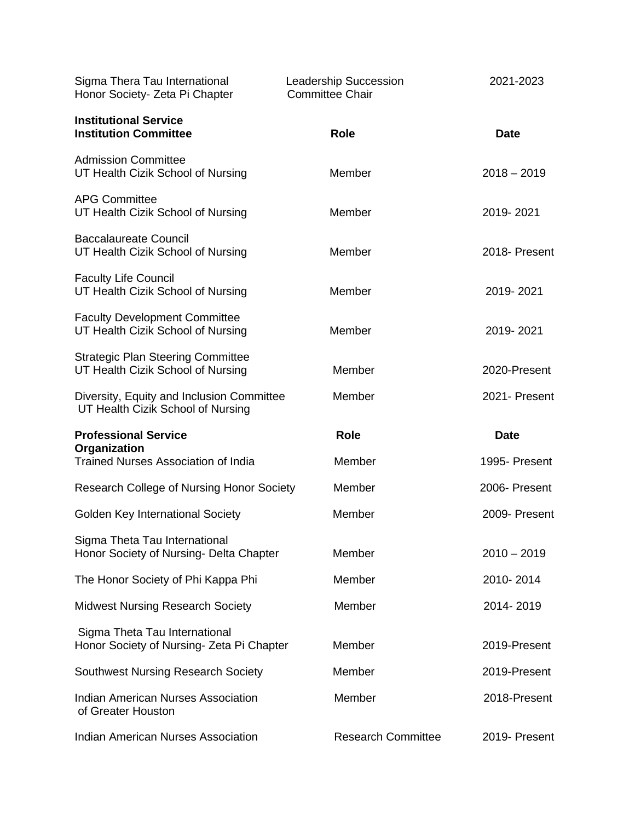| Sigma Thera Tau International<br>Honor Society- Zeta Pi Chapter                | Leadership Succession<br><b>Committee Chair</b> | 2021-2023     |
|--------------------------------------------------------------------------------|-------------------------------------------------|---------------|
| <b>Institutional Service</b><br><b>Institution Committee</b>                   | Role                                            | <b>Date</b>   |
| <b>Admission Committee</b><br>UT Health Cizik School of Nursing                | Member                                          | $2018 - 2019$ |
| <b>APG Committee</b><br>UT Health Cizik School of Nursing                      | Member                                          | 2019-2021     |
| <b>Baccalaureate Council</b><br>UT Health Cizik School of Nursing              | Member                                          | 2018- Present |
| <b>Faculty Life Council</b><br>UT Health Cizik School of Nursing               | Member                                          | 2019-2021     |
| <b>Faculty Development Committee</b><br>UT Health Cizik School of Nursing      | Member                                          | 2019-2021     |
| <b>Strategic Plan Steering Committee</b><br>UT Health Cizik School of Nursing  | Member                                          | 2020-Present  |
| Diversity, Equity and Inclusion Committee<br>UT Health Cizik School of Nursing | Member                                          | 2021- Present |
| <b>Professional Service</b>                                                    | <b>Role</b>                                     | <b>Date</b>   |
| Organization<br><b>Trained Nurses Association of India</b>                     | Member                                          | 1995- Present |
| <b>Research College of Nursing Honor Society</b>                               | Member                                          | 2006- Present |
| Golden Key International Society                                               | Member                                          | 2009- Present |
| Sigma Theta Tau International<br>Honor Society of Nursing- Delta Chapter       | Member                                          | $2010 - 2019$ |
| The Honor Society of Phi Kappa Phi                                             | Member                                          | 2010-2014     |
| <b>Midwest Nursing Research Society</b>                                        | Member                                          | 2014-2019     |
| Sigma Theta Tau International<br>Honor Society of Nursing- Zeta Pi Chapter     | Member                                          | 2019-Present  |
| <b>Southwest Nursing Research Society</b>                                      | Member                                          | 2019-Present  |
| <b>Indian American Nurses Association</b><br>of Greater Houston                | Member                                          | 2018-Present  |
| <b>Indian American Nurses Association</b>                                      | <b>Research Committee</b>                       | 2019- Present |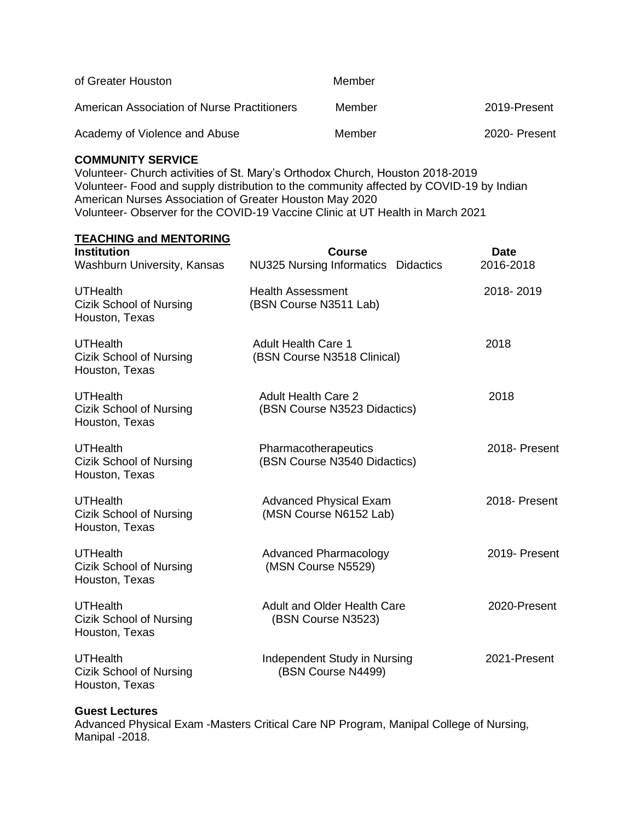| of Greater Houston                          | Member |               |
|---------------------------------------------|--------|---------------|
| American Association of Nurse Practitioners | Member | 2019-Present  |
| Academy of Violence and Abuse               | Member | 2020- Present |

### **COMMUNITY SERVICE**

Volunteer- Church activities of St. Mary's Orthodox Church, Houston 2018-2019 Volunteer- Food and supply distribution to the community affected by COVID-19 by Indian American Nurses Association of Greater Houston May 2020 Volunteer- Observer for the COVID-19 Vaccine Clinic at UT Health in March 2021

### **TEACHING and MENTORING**

| <b>Institution</b><br>Washburn University, Kansas                   | <b>Course</b><br><b>NU325 Nursing Informatics</b><br><b>Didactics</b> | <b>Date</b><br>2016-2018 |
|---------------------------------------------------------------------|-----------------------------------------------------------------------|--------------------------|
| <b>UTHealth</b><br>Cizik School of Nursing<br>Houston, Texas        | <b>Health Assessment</b><br>(BSN Course N3511 Lab)                    | 2018-2019                |
| <b>UTHealth</b><br><b>Cizik School of Nursing</b><br>Houston, Texas | <b>Adult Health Care 1</b><br>(BSN Course N3518 Clinical)             | 2018                     |
| <b>UTHealth</b><br><b>Cizik School of Nursing</b><br>Houston, Texas | <b>Adult Health Care 2</b><br>(BSN Course N3523 Didactics)            | 2018                     |
| <b>UTHealth</b><br>Cizik School of Nursing<br>Houston, Texas        | Pharmacotherapeutics<br>(BSN Course N3540 Didactics)                  | 2018- Present            |
| <b>UTHealth</b><br>Cizik School of Nursing<br>Houston, Texas        | <b>Advanced Physical Exam</b><br>(MSN Course N6152 Lab)               | 2018- Present            |
| <b>UTHealth</b><br><b>Cizik School of Nursing</b><br>Houston, Texas | <b>Advanced Pharmacology</b><br>(MSN Course N5529)                    | 2019- Present            |
| <b>UTHealth</b><br><b>Cizik School of Nursing</b><br>Houston, Texas | <b>Adult and Older Health Care</b><br>(BSN Course N3523)              | 2020-Present             |
| <b>UTHealth</b><br>Cizik School of Nursing<br>Houston, Texas        | Independent Study in Nursing<br>(BSN Course N4499)                    | 2021-Present             |

### **Guest Lectures**

Advanced Physical Exam -Masters Critical Care NP Program, Manipal College of Nursing, Manipal -2018.